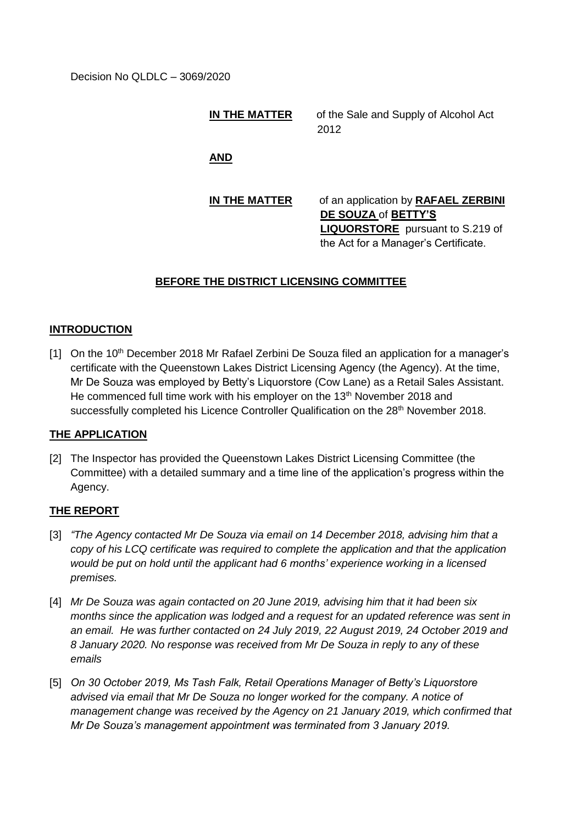Decision No QLDLC – 3069/2020

#### **IN THE MATTER** of the Sale and Supply of Alcohol Act 2012

**AND**

# **IN THE MATTER** of an application by **RAFAEL ZERBINI DE SOUZA** of **BETTY'S LIQUORSTORE** pursuant to S.219 of the Act for a Manager's Certificate.

## **BEFORE THE DISTRICT LICENSING COMMITTEE**

### **INTRODUCTION**

[1] On the 10<sup>th</sup> December 2018 Mr Rafael Zerbini De Souza filed an application for a manager's certificate with the Queenstown Lakes District Licensing Agency (the Agency). At the time, Mr De Souza was employed by Betty's Liquorstore (Cow Lane) as a Retail Sales Assistant. He commenced full time work with his employer on the 13<sup>th</sup> November 2018 and successfully completed his Licence Controller Qualification on the 28<sup>th</sup> November 2018.

### **THE APPLICATION**

[2] The Inspector has provided the Queenstown Lakes District Licensing Committee (the Committee) with a detailed summary and a time line of the application's progress within the Agency.

### **THE REPORT**

- [3] *"The Agency contacted Mr De Souza via email on 14 December 2018, advising him that a copy of his LCQ certificate was required to complete the application and that the application would be put on hold until the applicant had 6 months' experience working in a licensed premises.*
- [4] *Mr De Souza was again contacted on 20 June 2019, advising him that it had been six months since the application was lodged and a request for an updated reference was sent in an email. He was further contacted on 24 July 2019, 22 August 2019, 24 October 2019 and 8 January 2020. No response was received from Mr De Souza in reply to any of these emails*
- [5] On 30 October 2019, Ms Tash Falk, Retail Operations Manager of Betty's Liquorstore *advised via email that Mr De Souza no longer worked for the company. A notice of management change was received by the Agency on 21 January 2019, which confirmed that Mr De Souza's management appointment was terminated from 3 January 2019.*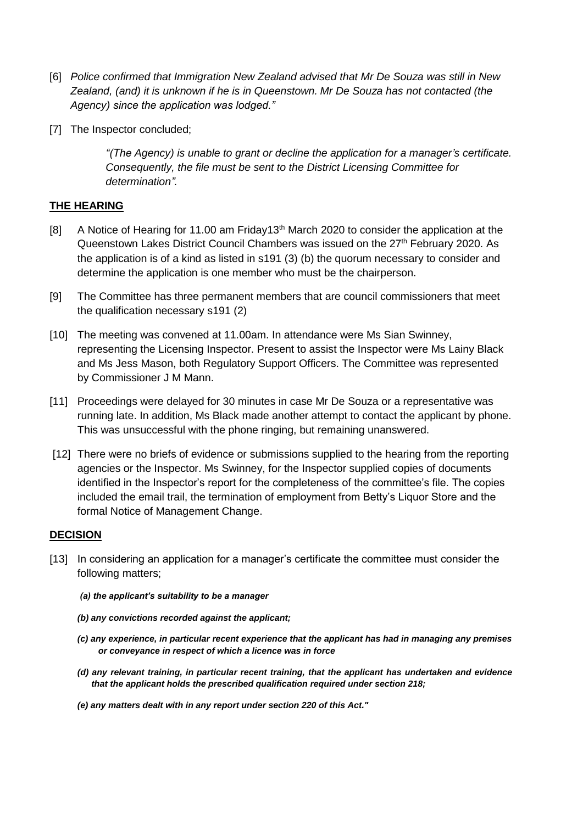- [6] *Police confirmed that Immigration New Zealand advised that Mr De Souza was still in New Zealand, (and) it is unknown if he is in Queenstown. Mr De Souza has not contacted (the Agency) since the application was lodged."*
- [7] The Inspector concluded;

*"(The Agency) is unable to grant or decline the application for a manager's certificate. Consequently, the file must be sent to the District Licensing Committee for determination".*

## **THE HEARING**

- [8] A Notice of Hearing for 11.00 am Friday13<sup>th</sup> March 2020 to consider the application at the Queenstown Lakes District Council Chambers was issued on the 27<sup>th</sup> February 2020. As the application is of a kind as listed in s191 (3) (b) the quorum necessary to consider and determine the application is one member who must be the chairperson.
- [9] The Committee has three permanent members that are council commissioners that meet the qualification necessary s191 (2)
- [10] The meeting was convened at 11.00am. In attendance were Ms Sian Swinney, representing the Licensing Inspector. Present to assist the Inspector were Ms Lainy Black and Ms Jess Mason, both Regulatory Support Officers. The Committee was represented by Commissioner J M Mann.
- [11] Proceedings were delayed for 30 minutes in case Mr De Souza or a representative was running late. In addition, Ms Black made another attempt to contact the applicant by phone. This was unsuccessful with the phone ringing, but remaining unanswered.
- [12] There were no briefs of evidence or submissions supplied to the hearing from the reporting agencies or the Inspector. Ms Swinney, for the Inspector supplied copies of documents identified in the Inspector's report for the completeness of the committee's file. The copies included the email trail, the termination of employment from Betty's Liquor Store and the formal Notice of Management Change.

## **DECISION**

- [13] In considering an application for a manager's certificate the committee must consider the following matters;
	- *(a) the applicant's suitability to be a manager*
	- *(b) any convictions recorded against the applicant;*
	- *(c) any experience, in particular recent experience that the applicant has had in managing any premises or conveyance in respect of which a licence was in force*
	- *(d) any relevant training, in particular recent training, that the applicant has undertaken and evidence that the applicant holds the prescribed qualification required under section 218;*
	- *(e) any matters dealt with in any report under section 220 of this Act."*